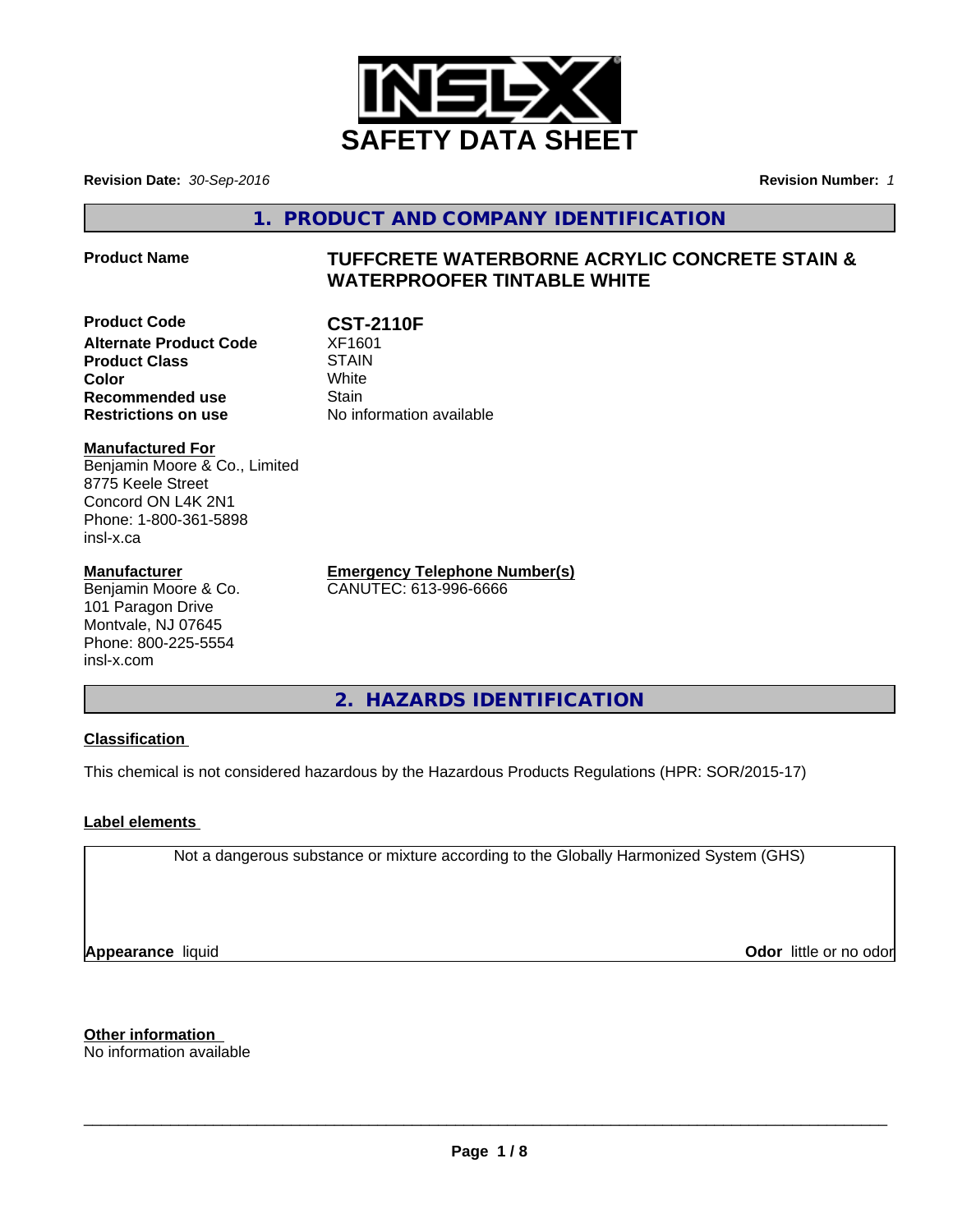

**Revision Date:** *30-Sep-2016* **Revision Number:** *1*

**1. PRODUCT AND COMPANY IDENTIFICATION**

# **Product Name TUFFCRETE WATERBORNE ACRYLIC CONCRETE STAIN & WATERPROOFER TINTABLE WHITE**

**Product Code CST-2110F**<br>Alternate Product Code XF1601 **Alternate Product Code Product Class STAIN Color** White White **Recommended use** Stain **Restrictions on use** No information available

**Manufactured For** Benjamin Moore & Co., Limited 8775 Keele Street Concord ON L4K 2N1 Phone: 1-800-361-5898 insl-x.ca

## **Manufacturer**

Benjamin Moore & Co. 101 Paragon Drive Montvale, NJ 07645 Phone: 800-225-5554 insl-x.com

**Emergency Telephone Number(s)** CANUTEC: 613-996-6666

**2. HAZARDS IDENTIFICATION**

# **Classification**

This chemical is not considered hazardous by the Hazardous Products Regulations (HPR: SOR/2015-17)

# **Label elements**

Not a dangerous substance or mixture according to the Globally Harmonized System (GHS)

**Appearance** liquid

**Odor** little or no odor

**Other information** No information available

 $\overline{\phantom{a}}$  ,  $\overline{\phantom{a}}$  ,  $\overline{\phantom{a}}$  ,  $\overline{\phantom{a}}$  ,  $\overline{\phantom{a}}$  ,  $\overline{\phantom{a}}$  ,  $\overline{\phantom{a}}$  ,  $\overline{\phantom{a}}$  ,  $\overline{\phantom{a}}$  ,  $\overline{\phantom{a}}$  ,  $\overline{\phantom{a}}$  ,  $\overline{\phantom{a}}$  ,  $\overline{\phantom{a}}$  ,  $\overline{\phantom{a}}$  ,  $\overline{\phantom{a}}$  ,  $\overline{\phantom{a}}$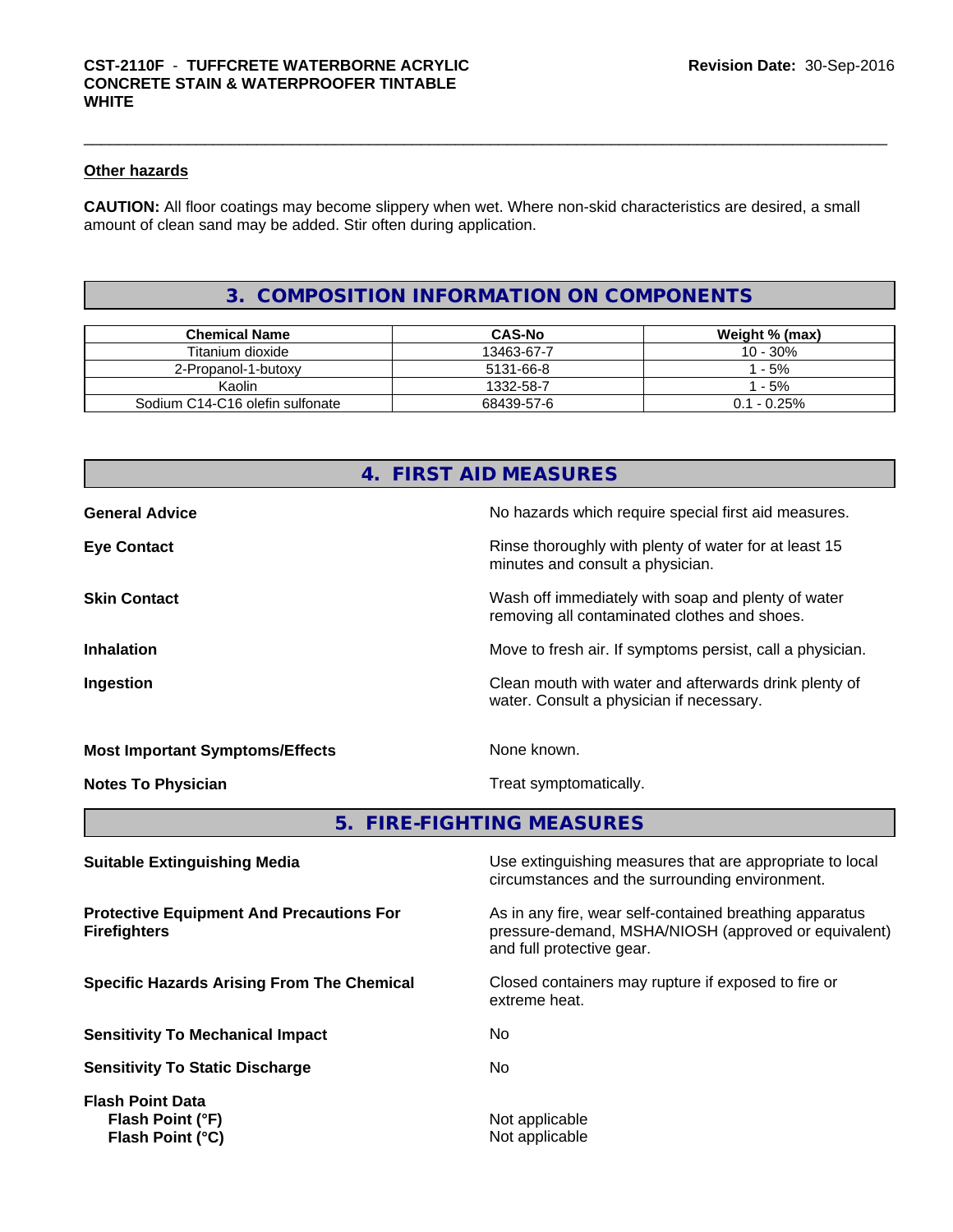# **Other hazards**

**CAUTION:** All floor coatings may become slippery when wet. Where non-skid characteristics are desired, a small amount of clean sand may be added. Stir often during application.

# **3. COMPOSITION INFORMATION ON COMPONENTS**

| <b>Chemical Name</b>            | <b>CAS-No</b> | Weight % (max) |
|---------------------------------|---------------|----------------|
| Titanium dioxide                | 13463-67-7    | 10 - 30%       |
| 2-Propanol-1-butoxy             | 5131-66-8     | - 5%           |
| Kaolin                          | 1332-58-7     | - 5%           |
| Sodium C14-C16 olefin sulfonate | 68439-57-6    | $0.1 - 0.25\%$ |

# **4. FIRST AID MEASURES**

| <b>Eye Contact</b>                     | Rinse thoroughly with plenty of water for at least 15<br>minutes and consult a physician.          |
|----------------------------------------|----------------------------------------------------------------------------------------------------|
| <b>Skin Contact</b>                    | Wash off immediately with soap and plenty of water<br>removing all contaminated clothes and shoes. |
| <b>Inhalation</b>                      | Move to fresh air. If symptoms persist, call a physician.                                          |
| Ingestion                              | Clean mouth with water and afterwards drink plenty of<br>water. Consult a physician if necessary.  |
| <b>Most Important Symptoms/Effects</b> | None known.                                                                                        |
| <b>Notes To Physician</b>              | Treat symptomatically.                                                                             |

**5. FIRE-FIGHTING MEASURES**

| <b>Suitable Extinguishing Media</b>                                    | Use extinguishing measures that are appropriate to local<br>circumstances and the surrounding environment.                                   |
|------------------------------------------------------------------------|----------------------------------------------------------------------------------------------------------------------------------------------|
| <b>Protective Equipment And Precautions For</b><br><b>Firefighters</b> | As in any fire, wear self-contained breathing apparatus<br>pressure-demand, MSHA/NIOSH (approved or equivalent)<br>and full protective gear. |
| <b>Specific Hazards Arising From The Chemical</b>                      | Closed containers may rupture if exposed to fire or<br>extreme heat.                                                                         |
| <b>Sensitivity To Mechanical Impact</b>                                | No.                                                                                                                                          |
| <b>Sensitivity To Static Discharge</b>                                 | No.                                                                                                                                          |
| <b>Flash Point Data</b><br>Flash Point (°F)<br>Flash Point (°C)        | Not applicable<br>Not applicable                                                                                                             |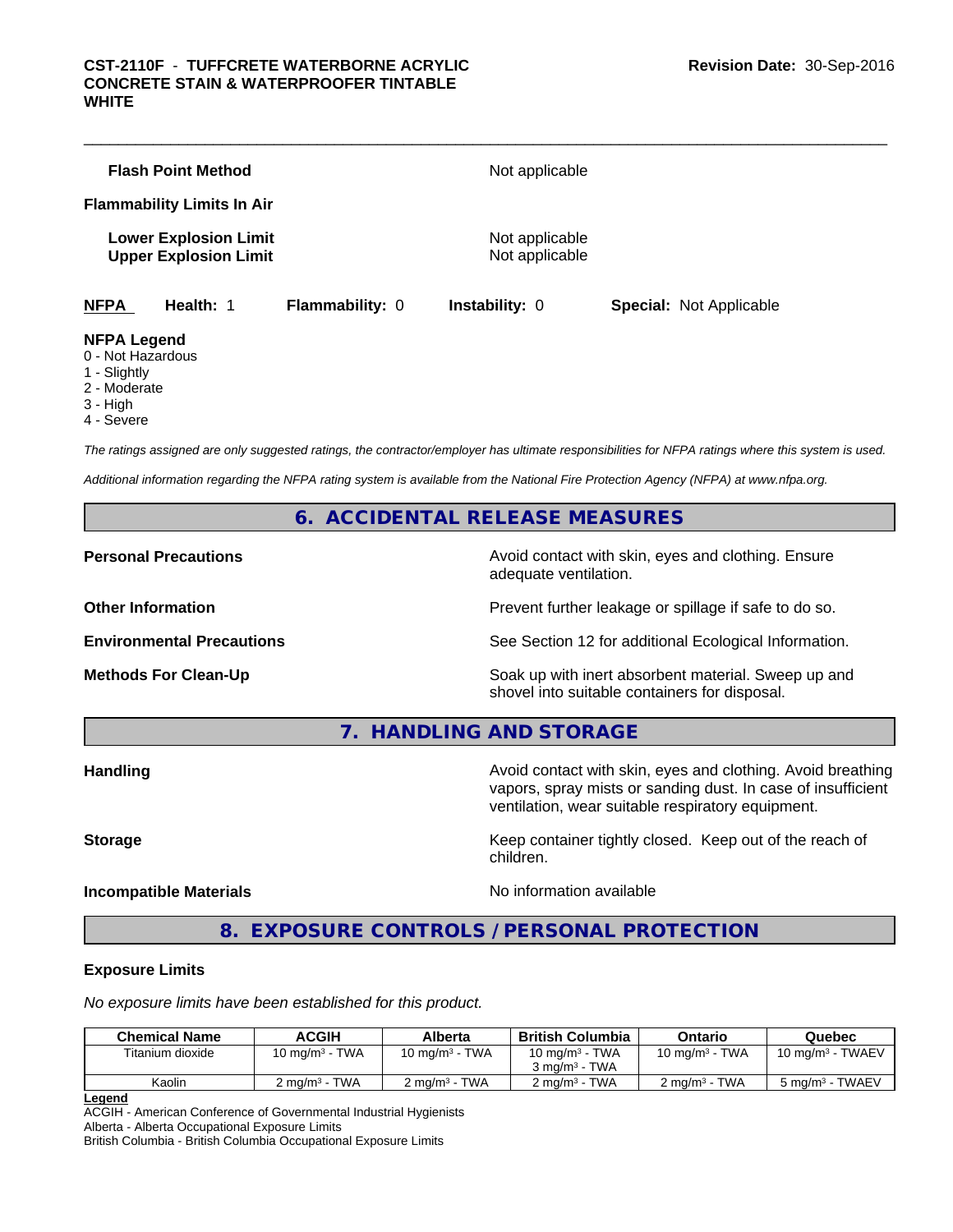|                                                                                  | <b>Flash Point Method</b>                                    |                        | Not applicable                   |                                |  |
|----------------------------------------------------------------------------------|--------------------------------------------------------------|------------------------|----------------------------------|--------------------------------|--|
|                                                                                  | <b>Flammability Limits In Air</b>                            |                        |                                  |                                |  |
|                                                                                  | <b>Lower Explosion Limit</b><br><b>Upper Explosion Limit</b> |                        | Not applicable<br>Not applicable |                                |  |
| <b>NFPA</b>                                                                      | <b>Health: 1</b>                                             | <b>Flammability: 0</b> | <b>Instability: 0</b>            | <b>Special: Not Applicable</b> |  |
| <b>NFPA Legend</b><br>0 - Not Hazardous<br>1 - Slightly<br>$\sim$ $\blacksquare$ |                                                              |                        |                                  |                                |  |

2 - Moderate

3 - High

4 - Severe

*The ratings assigned are only suggested ratings, the contractor/employer has ultimate responsibilities for NFPA ratings where this system is used.*

*Additional information regarding the NFPA rating system is available from the National Fire Protection Agency (NFPA) at www.nfpa.org.*

# **6. ACCIDENTAL RELEASE MEASURES**

**Personal Precautions Avoid contact with skin, eyes and clothing. Ensure** Avoid contact with skin, eyes and clothing. Ensure adequate ventilation.

**Other Information Discription Prevent further leakage or spillage if safe to do so.** 

**Environmental Precautions** See Section 12 for additional Ecological Information.

**Methods For Clean-Up Example 20 All 20 All 20 All 20 All 20 All 20 Soak up with inert absorbent material. Sweep up and** shovel into suitable containers for disposal.

**7. HANDLING AND STORAGE**

**Handling Handling Avoid contact with skin, eyes and clothing. Avoid breathing Handling Avoid breathing Avoid breathing** vapors, spray mists or sanding dust. In case of insufficient ventilation, wear suitable respiratory equipment.

**Storage** Storage **Keep container tightly closed.** Keep out of the reach of

## **Incompatible Materials** Noinformation available

**8. EXPOSURE CONTROLS / PERSONAL PROTECTION**

children.

## **Exposure Limits**

*No exposure limits have been established for this product.*

| <b>Chemical Name</b> | <b>ACGIH</b>             | Alberta                  | <b>British Columbia</b>  | Ontario                  | Quebec                     |
|----------------------|--------------------------|--------------------------|--------------------------|--------------------------|----------------------------|
| Titanium dioxide     | 10 mg/m $3$ - TWA        | 10 mg/m $3$ - TWA        | 10 mg/m $3$ - TWA        | 10 mg/m $3$ - TWA        | 10 mg/m $3$ - TWAEV        |
|                      |                          |                          | $3 \text{ ma/m}^3$ - TWA |                          |                            |
| Kaolin               | $2 \text{ ma/m}^3$ - TWA | $2 \text{ ma/m}^3$ - TWA | $2 \text{ ma/m}^3$ - TWA | $2 \text{ ma/m}^3$ - TWA | $5 \text{ ma/m}^3$ - TWAEV |
|                      |                          |                          |                          |                          |                            |

**Legend**

ACGIH - American Conference of Governmental Industrial Hygienists Alberta - Alberta Occupational Exposure Limits

British Columbia - British Columbia Occupational Exposure Limits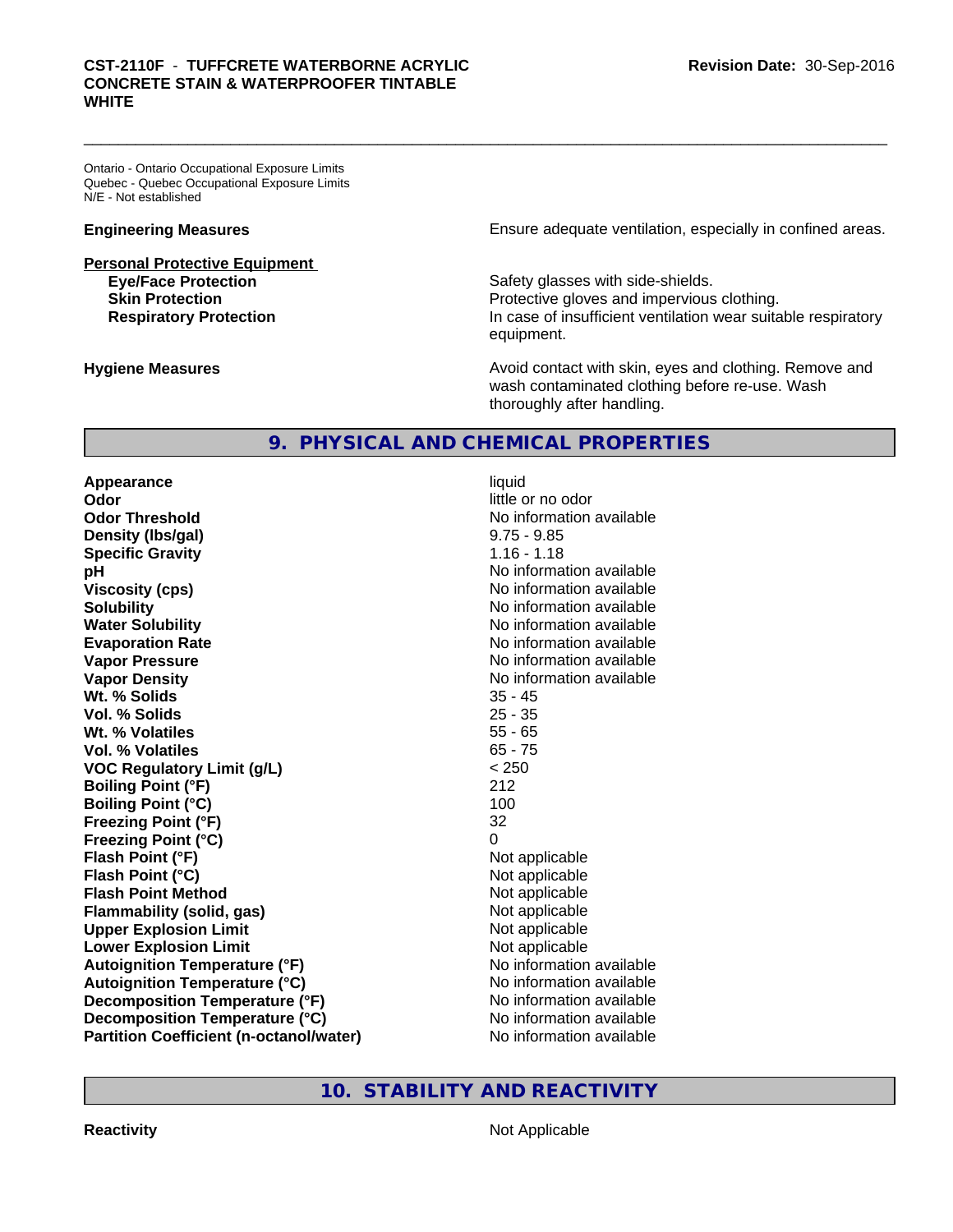# \_\_\_\_\_\_\_\_\_\_\_\_\_\_\_\_\_\_\_\_\_\_\_\_\_\_\_\_\_\_\_\_\_\_\_\_\_\_\_\_\_\_\_\_\_\_\_\_\_\_\_\_\_\_\_\_\_\_\_\_\_\_\_\_\_\_\_\_\_\_\_\_\_\_\_\_\_\_\_\_\_\_\_\_\_\_\_\_\_\_\_\_\_ **CST-2110F** - **TUFFCRETE WATERBORNE ACRYLIC CONCRETE STAIN & WATERPROOFER TINTABLE WHITE**

Ontario - Ontario Occupational Exposure Limits Quebec - Quebec Occupational Exposure Limits N/E - Not established

**Personal Protective Equipment**

**Engineering Measures Ensure** Ensure adequate ventilation, especially in confined areas.

**Eye/Face Protection Safety glasses with side-shields. Skin Protection Protection Protective gloves and impervious clothing. Respiratory Protection In case of insufficient ventilation wear suitable respiratory** equipment.

**Hygiene Measures Avoid contact with skin, eyes and clothing. Remove and Avoid contact with skin, eyes and clothing. Remove and Avoid contact with skin, eyes and clothing. Remove and** wash contaminated clothing before re-use. Wash thoroughly after handling.

# **9. PHYSICAL AND CHEMICAL PROPERTIES**

**Appearance** liquid **Odor** little or no odor **Odor Threshold No information available No information available Density (lbs/gal)** 9.75 - 9.85 **Specific Gravity** 1.16 - 1.18 **pH** No information available **Viscosity (cps)** No information available **Solubility** No information available in the solution of the North Solution available in the Solution of the North Solution available in the North Solution available in the North Solution available in the North Solution of **Water Solubility Water Solubility Water Solubility Water Solubility Water Solubility Water Solution Evaporation Rate Evaporation Rate No information available Vapor Pressure** No information available **Vapor Density**<br> **We Solids**<br>
We Solids
25 - 45 Wt. % Solids **Vol. % Solids** 25 - 35 **Wt. % Volatiles** 55 - 65 **Vol. % Volatiles** 65 - 75 **VOC Regulatory Limit (g/L)** < 250 **Boiling Point (°F)** 212 **Boiling Point (°C) Freezing Point (°F)** 32 **Freezing Point (°C)** 0 **Flash Point (°F)**  $\qquad \qquad$  Not applicable **Flash Point (°C)** Not applicable **Flash Point Method** Not applicable **Flammability (solid, gas)** Not applicable **Upper Explosion Limit** Not applicable **Lower Explosion Limit Contract Contract Contract Contract Contract Contract Contract Contract Contract Contract Contract Contract Contract Contract Contract Contract Contract Contract Contract Contract Contract Contract Autoignition Temperature (°F)** No information available **Autoignition Temperature (°C)**<br> **Decomposition Temperature (°F)** No information available **Decomposition Temperature (°F) Decomposition Temperature (°C)** No information available **Partition Coefficient (n-octanol/water)** No information available

# **10. STABILITY AND REACTIVITY**

**Reactivity** Not Applicable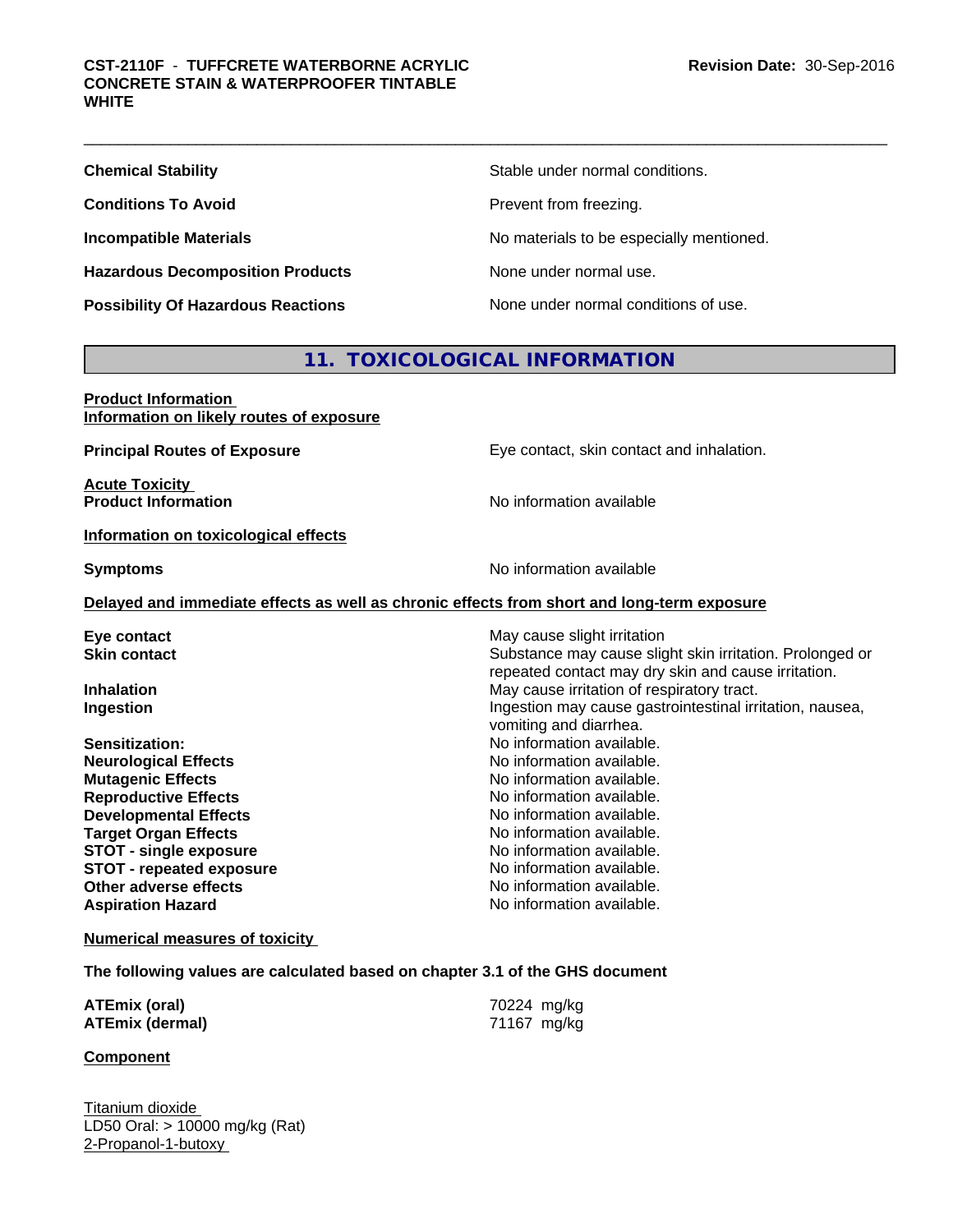**Hazardous Decomposition Products** None under normal use.

**Chemical Stability Chemical Stability** Stable under normal conditions.

**Conditions To Avoid Prevent from freezing.** 

**Incompatible Materials Incompatible Materials No materials to be especially mentioned.** 

**Possibility Of Hazardous Reactions** None under normal conditions of use.

# **11. TOXICOLOGICAL INFORMATION**

| <b>Product Information</b><br>Information on likely routes of exposure                     |                                                          |
|--------------------------------------------------------------------------------------------|----------------------------------------------------------|
| <b>Principal Routes of Exposure</b>                                                        | Eye contact, skin contact and inhalation.                |
| <b>Acute Toxicity</b>                                                                      |                                                          |
| <b>Product Information</b>                                                                 | No information available                                 |
| Information on toxicological effects                                                       |                                                          |
| <b>Symptoms</b>                                                                            | No information available                                 |
| Delayed and immediate effects as well as chronic effects from short and long-term exposure |                                                          |
| Eye contact                                                                                | May cause slight irritation                              |
| <b>Skin contact</b>                                                                        | Substance may cause slight skin irritation. Prolonged or |
|                                                                                            | repeated contact may dry skin and cause irritation.      |
| <b>Inhalation</b>                                                                          | May cause irritation of respiratory tract.               |
| Ingestion                                                                                  | Ingestion may cause gastrointestinal irritation, nausea, |
|                                                                                            | vomiting and diarrhea.                                   |
| Sensitization:                                                                             | No information available.                                |
| <b>Neurological Effects</b>                                                                | No information available.                                |
| <b>Mutagenic Effects</b>                                                                   | No information available.                                |
| <b>Reproductive Effects</b>                                                                | No information available.                                |
| <b>Developmental Effects</b>                                                               | No information available.                                |
| <b>Target Organ Effects</b>                                                                | No information available.                                |
| <b>STOT - single exposure</b>                                                              | No information available.                                |
| <b>STOT - repeated exposure</b>                                                            | No information available.                                |
| Other adverse effects                                                                      | No information available.                                |
| <b>Aspiration Hazard</b>                                                                   | No information available.                                |
| <b>Numerical measures of toxicity</b>                                                      |                                                          |

**The following values are calculated based on chapter 3.1 of the GHS document**

| <b>ATEmix (oral)</b>   | 70224 mg/kg |
|------------------------|-------------|
| <b>ATEmix (dermal)</b> | 71167 mg/kg |

## **Component**

Titanium dioxide LD50 Oral: > 10000 mg/kg (Rat) 2-Propanol-1-butoxy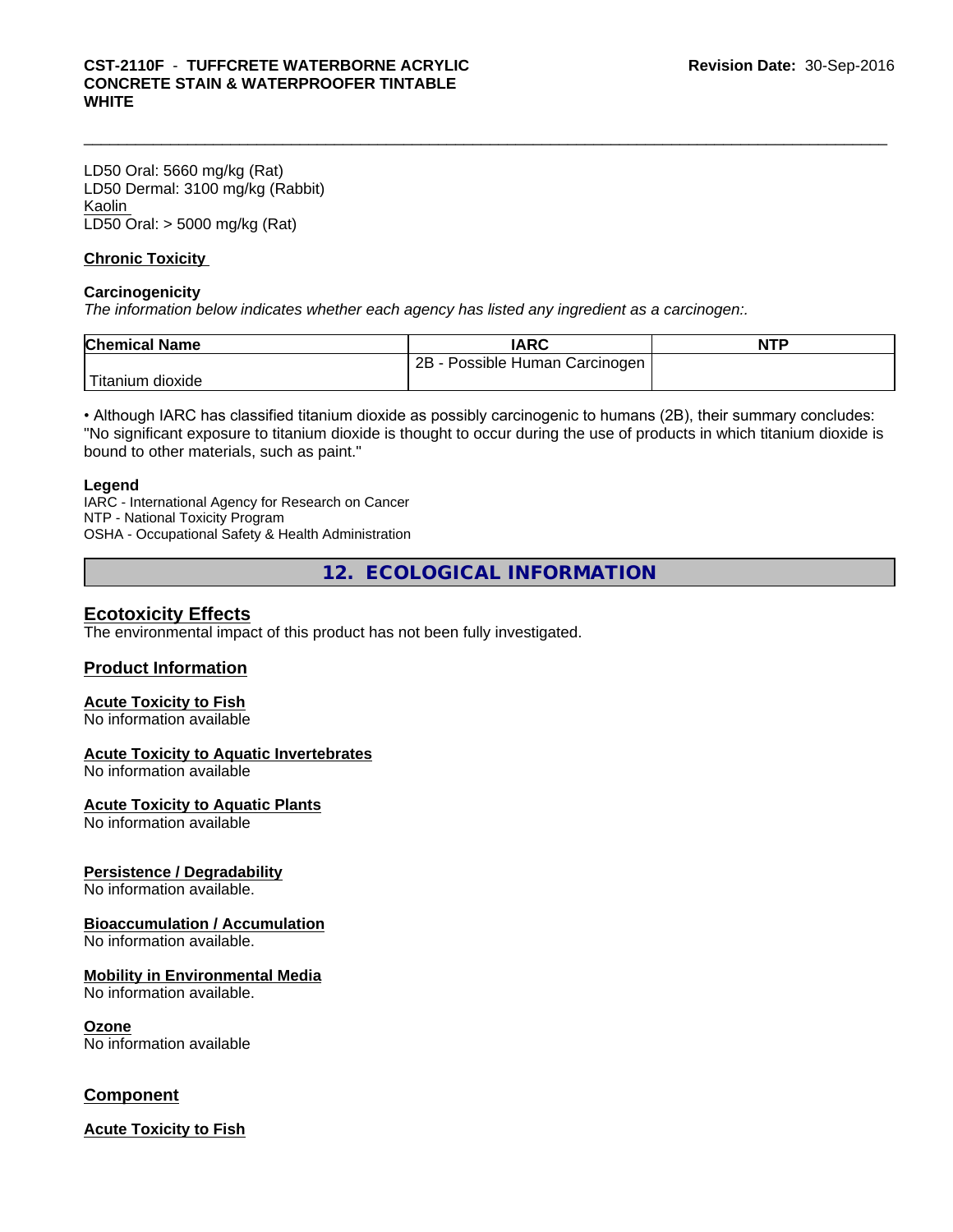# \_\_\_\_\_\_\_\_\_\_\_\_\_\_\_\_\_\_\_\_\_\_\_\_\_\_\_\_\_\_\_\_\_\_\_\_\_\_\_\_\_\_\_\_\_\_\_\_\_\_\_\_\_\_\_\_\_\_\_\_\_\_\_\_\_\_\_\_\_\_\_\_\_\_\_\_\_\_\_\_\_\_\_\_\_\_\_\_\_\_\_\_\_ **CST-2110F** - **TUFFCRETE WATERBORNE ACRYLIC CONCRETE STAIN & WATERPROOFER TINTABLE WHITE**

LD50 Oral: 5660 mg/kg (Rat) LD50 Dermal: 3100 mg/kg (Rabbit) Kaolin LD50 Oral: > 5000 mg/kg (Rat)

## **Chronic Toxicity**

## **Carcinogenicity**

*The information below indicateswhether each agency has listed any ingredient as a carcinogen:.*

| <b>Chemical Name</b>  | IARC                              | <b>NTP</b> |
|-----------------------|-----------------------------------|------------|
|                       | Possible Human Carcinogen<br>2B - |            |
| Titanium L<br>dioxide |                                   |            |

• Although IARC has classified titanium dioxide as possibly carcinogenic to humans (2B), their summary concludes: "No significant exposure to titanium dioxide is thought to occur during the use of products in which titanium dioxide is bound to other materials, such as paint."

## **Legend**

IARC - International Agency for Research on Cancer NTP - National Toxicity Program OSHA - Occupational Safety & Health Administration

**12. ECOLOGICAL INFORMATION**

# **Ecotoxicity Effects**

The environmental impact of this product has not been fully investigated.

## **Product Information**

# **Acute Toxicity to Fish**

No information available

## **Acute Toxicity to Aquatic Invertebrates**

No information available

## **Acute Toxicity to Aquatic Plants**

No information available

## **Persistence / Degradability**

No information available.

# **Bioaccumulation / Accumulation**

No information available.

## **Mobility in Environmental Media**

No information available.

## **Ozone**

No information available

# **Component**

**Acute Toxicity to Fish**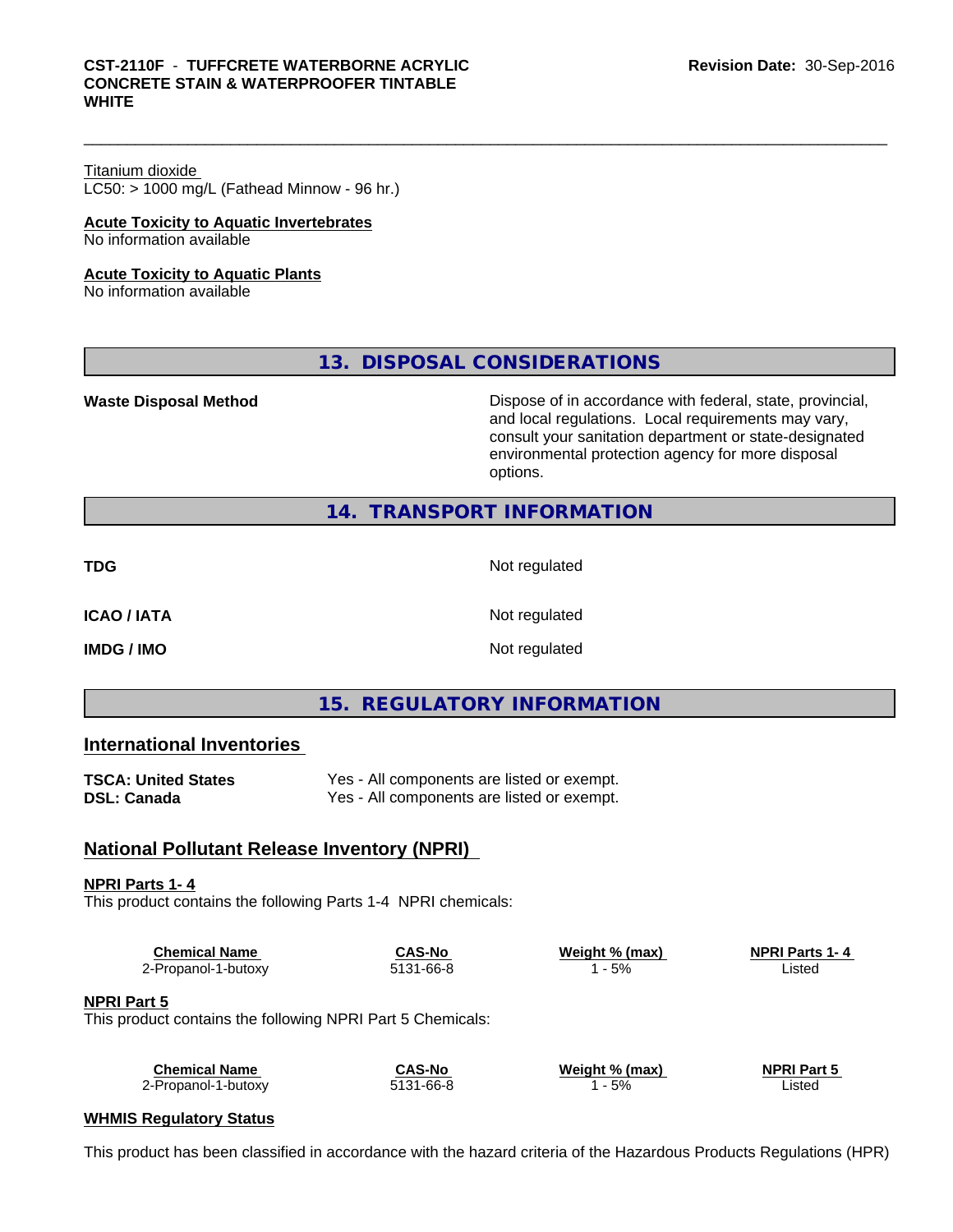# Titanium dioxide

 $LC50:$  > 1000 mg/L (Fathead Minnow - 96 hr.)

### **Acute Toxicity to Aquatic Invertebrates** No information available

## **Acute Toxicity to Aquatic Plants**

No information available

**13. DISPOSAL CONSIDERATIONS**

Waste Disposal Method **Dispose of in accordance with federal, state, provincial,** and local regulations. Local requirements may vary, consult your sanitation department or state-designated environmental protection agency for more disposal options.

# **14. TRANSPORT INFORMATION**

| ۰<br>٠<br>×<br>۰,<br>.,<br>v |
|------------------------------|
|------------------------------|

Not regulated

**ICAO / IATA** Not regulated

**IMDG / IMO** Not regulated

# **15. REGULATORY INFORMATION**

# **International Inventories**

| <b>TSCA: United States</b> | Yes - All components are listed or exempt. |
|----------------------------|--------------------------------------------|
| <b>DSL: Canada</b>         | Yes - All components are listed or exempt. |

# **National Pollutant Release Inventory (NPRI)**

## **NPRI Parts 1- 4**

This product contains the following Parts 1-4 NPRI chemicals:

| <b>Chemical Name</b> | <b>CAS-No</b> | Weight % (max) | <b>NPRI Parts 1-4</b> |
|----------------------|---------------|----------------|-----------------------|
| 2-Propanol-1-butoxy  | 5131-66-8     | 5%             | ∟isted                |

## **NPRI Part 5**

This product contains the following NPRI Part 5 Chemicals:

| <b>Chemical Name</b> | CAS-No    | Weight % (max) | <b>NPRI Part 5</b> |
|----------------------|-----------|----------------|--------------------|
| 2-Propanol-1-butoxy  | 5131-66-8 | 5%             | Listed             |

# **WHMIS Regulatory Status**

This product has been classified in accordance with the hazard criteria of the Hazardous Products Regulations (HPR)